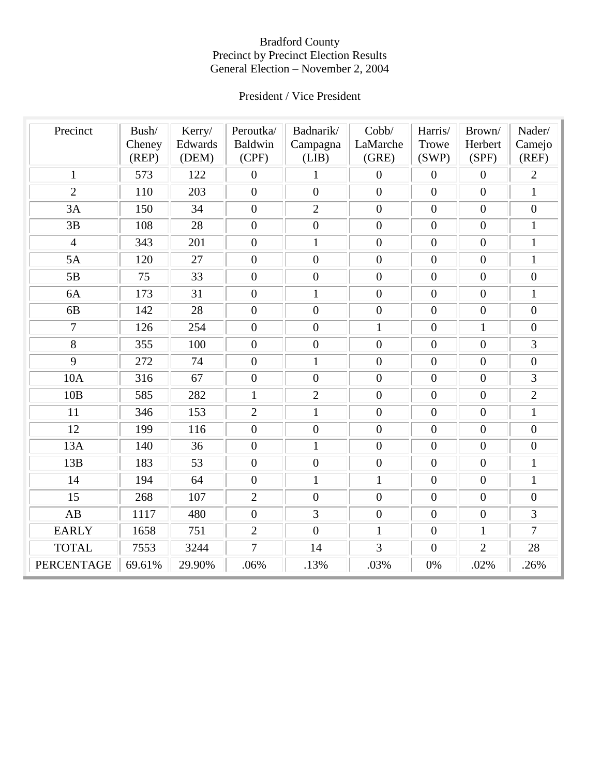# President / Vice President

| Precinct          | Bush/<br>Cheney<br>(REP) | Kerry/<br>Edwards<br>(DEM) | Peroutka/<br><b>Baldwin</b><br>(CPF) | Badnarik/<br>Campagna<br>(LIB) | Cobb/<br>LaMarche<br>(GRE) | Harris/<br>Trowe<br>(SWP) | Brown/<br>Herbert<br>(SPF) | Nader/<br>Camejo<br>(REF) |
|-------------------|--------------------------|----------------------------|--------------------------------------|--------------------------------|----------------------------|---------------------------|----------------------------|---------------------------|
| $\mathbf{1}$      | 573                      | 122                        | $\boldsymbol{0}$                     | $\mathbf{1}$                   | $\boldsymbol{0}$           | $\mathbf{0}$              | $\overline{0}$             | $\overline{2}$            |
| $\overline{2}$    | 110                      | 203                        | $\overline{0}$                       | $\overline{0}$                 | $\overline{0}$             | $\overline{0}$            | $\overline{0}$             | $\mathbf{1}$              |
| 3A                | 150                      | 34                         | $\overline{0}$                       | $\overline{2}$                 | $\overline{0}$             | $\overline{0}$            | $\overline{0}$             | $\overline{0}$            |
|                   |                          |                            | $\boldsymbol{0}$                     | $\boldsymbol{0}$               | $\overline{0}$             | $\overline{0}$            |                            |                           |
| 3B                | 108                      | 28                         |                                      |                                |                            |                           | $\boldsymbol{0}$           | $\mathbf{1}$              |
| $\overline{4}$    | 343                      | 201                        | $\boldsymbol{0}$                     | $\mathbf 1$                    | $\overline{0}$             | $\overline{0}$            | $\boldsymbol{0}$           | $\mathbf{1}$              |
| 5A                | 120                      | 27                         | $\overline{0}$                       | $\boldsymbol{0}$               | $\overline{0}$             | $\overline{0}$            | $\overline{0}$             | $\mathbf{1}$              |
| 5B                | 75                       | 33                         | $\overline{0}$                       | $\boldsymbol{0}$               | $\overline{0}$             | $\mathbf{0}$              | $\overline{0}$             | $\overline{0}$            |
| 6A                | 173                      | 31                         | $\boldsymbol{0}$                     | $\mathbf{1}$                   | $\boldsymbol{0}$           | $\overline{0}$            | $\overline{0}$             | $\mathbf{1}$              |
| 6B                | 142                      | 28                         | $\boldsymbol{0}$                     | $\boldsymbol{0}$               | $\boldsymbol{0}$           | $\mathbf{0}$              | $\boldsymbol{0}$           | $\mathbf{0}$              |
| $\overline{7}$    | 126                      | 254                        | $\boldsymbol{0}$                     | $\boldsymbol{0}$               | $\mathbf{1}$               | $\overline{0}$            | $\mathbf{1}$               | $\boldsymbol{0}$          |
| $\overline{8}$    | 355                      | 100                        | $\overline{0}$                       | $\boldsymbol{0}$               | $\overline{0}$             | $\mathbf{0}$              | $\overline{0}$             | $\overline{3}$            |
| 9                 | 272                      | 74                         | $\boldsymbol{0}$                     | $\mathbf{1}$                   | $\boldsymbol{0}$           | $\overline{0}$            | $\boldsymbol{0}$           | $\boldsymbol{0}$          |
| 10A               | 316                      | 67                         | $\overline{0}$                       | $\overline{0}$                 | $\boldsymbol{0}$           | $\mathbf{0}$              | $\overline{0}$             | $\overline{3}$            |
| 10B               | 585                      | 282                        | $\mathbf{1}$                         | $\overline{2}$                 | $\overline{0}$             | $\overline{0}$            | $\overline{0}$             | $\overline{2}$            |
| 11                | 346                      | 153                        | $\overline{2}$                       | $\mathbf{1}$                   | $\overline{0}$             | $\overline{0}$            | $\boldsymbol{0}$           | $\mathbf{1}$              |
| 12                | 199                      | 116                        | $\overline{0}$                       | $\boldsymbol{0}$               | $\overline{0}$             | $\mathbf{0}$              | $\overline{0}$             | $\boldsymbol{0}$          |
| 13A               | 140                      | 36                         | $\overline{0}$                       | $\mathbf{1}$                   | $\overline{0}$             | $\mathbf{0}$              | $\overline{0}$             | $\mathbf{0}$              |
| 13B               | 183                      | 53                         | $\overline{0}$                       | $\boldsymbol{0}$               | $\overline{0}$             | $\theta$                  | $\overline{0}$             | $\mathbf{1}$              |
| 14                | 194                      | 64                         | $\overline{0}$                       | $\mathbf{1}$                   | $\mathbf{1}$               | $\mathbf{0}$              | $\overline{0}$             | $\mathbf{1}$              |
| 15                | 268                      | 107                        | $\overline{2}$                       | $\boldsymbol{0}$               | $\boldsymbol{0}$           | $\mathbf{0}$              | $\overline{0}$             | $\boldsymbol{0}$          |
| AB                | 1117                     | 480                        | $\overline{0}$                       | 3                              | $\overline{0}$             | $\overline{0}$            | $\overline{0}$             | $\overline{3}$            |
| <b>EARLY</b>      | 1658                     | 751                        | $\overline{2}$                       | $\overline{0}$                 | $\mathbf{1}$               | $\overline{0}$            | $\mathbf{1}$               | $\overline{7}$            |
| <b>TOTAL</b>      | 7553                     | 3244                       | $\overline{7}$                       | 14                             | $\overline{3}$             | $\mathbf{0}$              | $\overline{2}$             | 28                        |
| <b>PERCENTAGE</b> | 69.61%                   | 29.90%                     | .06%                                 | .13%                           | .03%                       | 0%                        | .02%                       | .26%                      |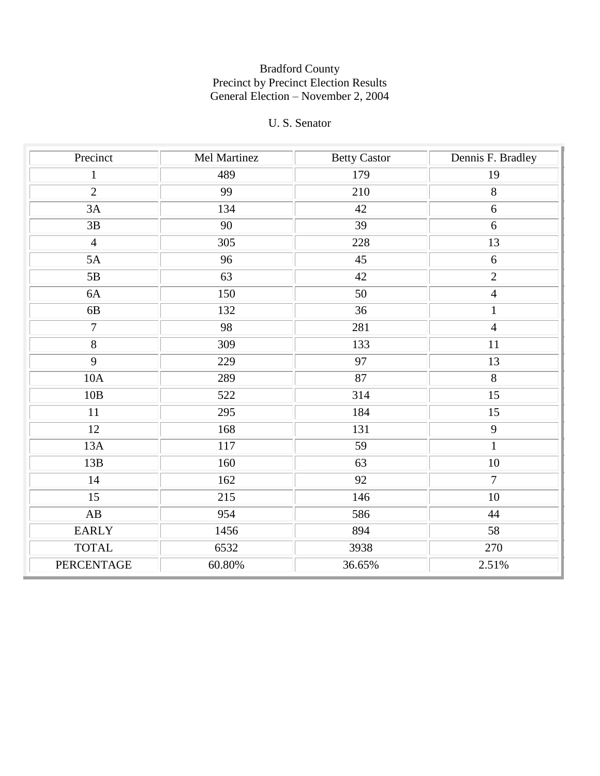## U. S. Senator

| Precinct       | Mel Martinez | <b>Betty Castor</b> | Dennis F. Bradley |
|----------------|--------------|---------------------|-------------------|
| $\mathbf{1}$   | 489          | 179                 | 19                |
| $\overline{2}$ | 99           | 210                 | 8                 |
| 3A             | 134          | 42                  | 6                 |
| 3B             | 90           | 39                  | 6                 |
| $\overline{4}$ | 305          | 228                 | 13                |
| 5A             | 96           | 45                  | 6                 |
| 5B             | 63           | 42                  | $\overline{2}$    |
| 6A             | 150          | $50\,$              | $\overline{4}$    |
| 6B             | 132          | 36                  | $\mathbf{1}$      |
| $\overline{7}$ | 98           | 281                 | $\overline{4}$    |
| $\overline{8}$ | 309          | 133                 | 11                |
| 9              | 229          | 97                  | 13                |
| 10A            | 289          | 87                  | $\overline{8}$    |
| 10B            | 522          | 314                 | 15                |
| 11             | 295          | 184                 | 15                |
| 12             | 168          | 131                 | 9                 |
| 13A            | 117          | 59                  | $\mathbf{1}$      |
| 13B            | 160          | 63                  | $10\,$            |
| 14             | 162          | 92                  | $\overline{7}$    |
| 15             | 215          | 146                 | 10                |
| AB             | 954          | 586                 | 44                |
| <b>EARLY</b>   | 1456         | 894                 | 58                |
| <b>TOTAL</b>   | 6532         | 3938                | 270               |
| PERCENTAGE     | 60.80%       | 36.65%              | 2.51%             |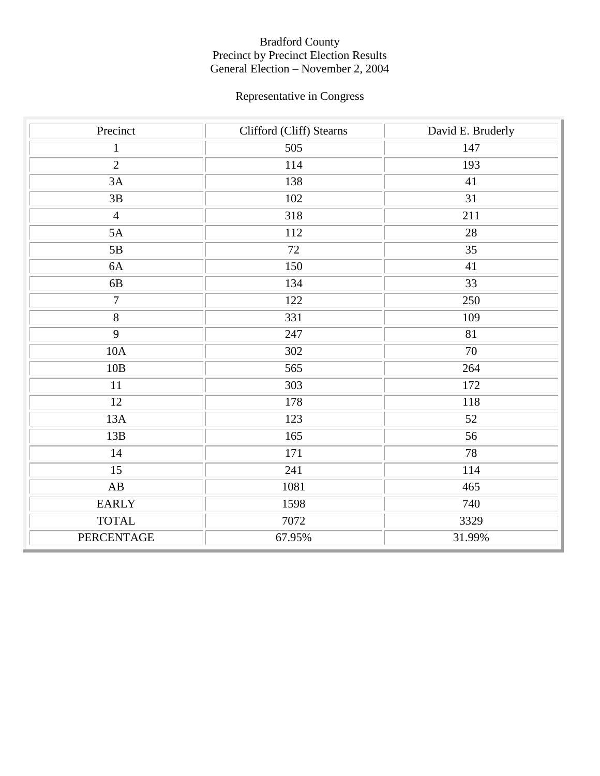# Representative in Congress

| Precinct               | Clifford (Cliff) Stearns | David E. Bruderly |
|------------------------|--------------------------|-------------------|
| $\mathbf{1}$           | 505                      | 147               |
| $\overline{2}$         | 114                      | 193               |
| 3A                     | 138                      | 41                |
| $3\mathrm{B}$          | 102                      | 31                |
| $\overline{4}$         | 318                      | 211               |
| 5A                     | 112                      | 28                |
| 5B                     | 72                       | 35                |
| 6A                     | 150                      | 41                |
| 6B                     | 134                      | 33                |
| $\overline{7}$         | 122                      | 250               |
| $\overline{8}$         | 331                      | 109               |
| $\overline{9}$         | 247                      | 81                |
| 10A                    | 302                      | 70                |
| $10B$                  | 565                      | 264               |
| 11                     | 303                      | <sup>172</sup>    |
| 12                     | 178                      | 118               |
| 13A                    | 123                      | 52                |
| 13B                    | 165                      | 56                |
| 14                     | 171                      | 78                |
| 15                     | 241                      | 114               |
| $\mathbf{A}\mathbf{B}$ | 1081                     | 465               |
| <b>EARLY</b>           | 1598                     | 740               |
| <b>TOTAL</b>           | 7072                     | 3329              |
| PERCENTAGE             | 67.95%                   | 31.99%            |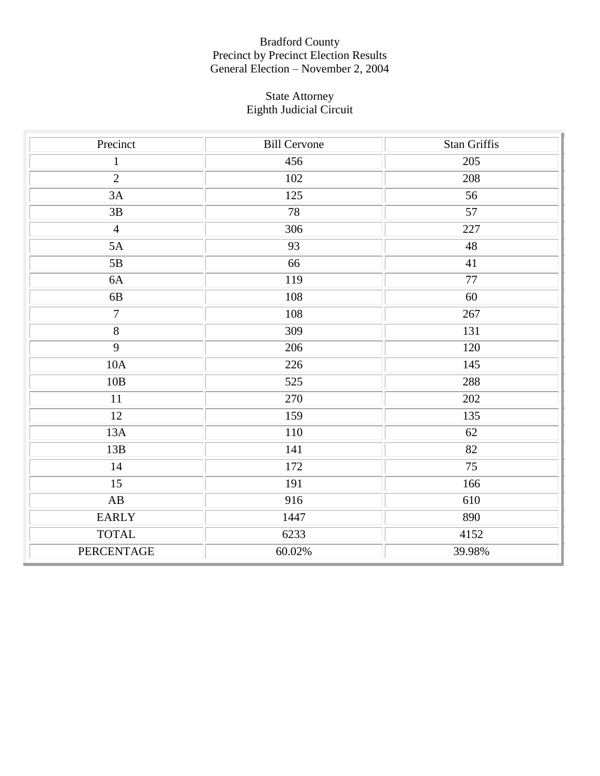#### State Attorney Eighth Judicial Circuit

| Precinct               | <b>Bill Cervone</b> | <b>Stan Griffis</b> |
|------------------------|---------------------|---------------------|
| $\mathbf{1}$           | 456                 | 205                 |
| $\overline{2}$         | 102                 | 208                 |
| 3A                     | 125                 | 56                  |
| $3\mathrm{B}$          | 78                  | $\overline{57}$     |
| $\overline{4}$         | 306                 | 227                 |
| 5A                     | 93                  | 48                  |
| 5B                     | 66                  | 41                  |
| 6A                     | 119                 | 77                  |
| 6B                     | 108                 | 60                  |
| $\overline{7}$         | 108                 | 267                 |
| $\overline{8}$         | 309                 | 131                 |
| $\overline{9}$         | 206                 | 120                 |
| 10A                    | 226                 | 145                 |
| 10B                    | 525                 | 288                 |
| 11                     | 270                 | 202                 |
| 12                     | 159                 | 135                 |
| 13A                    | 110                 | 62                  |
| 13B                    | 141                 | $\overline{82}$     |
| 14                     | 172                 | 75                  |
| 15                     | 191                 | 166                 |
| $\mathbf{A}\mathbf{B}$ | 916                 | 610                 |
| <b>EARLY</b>           | 1447                | 890                 |
| <b>TOTAL</b>           | 6233                | 4152                |
| PERCENTAGE             | 60.02%              | 39.98%              |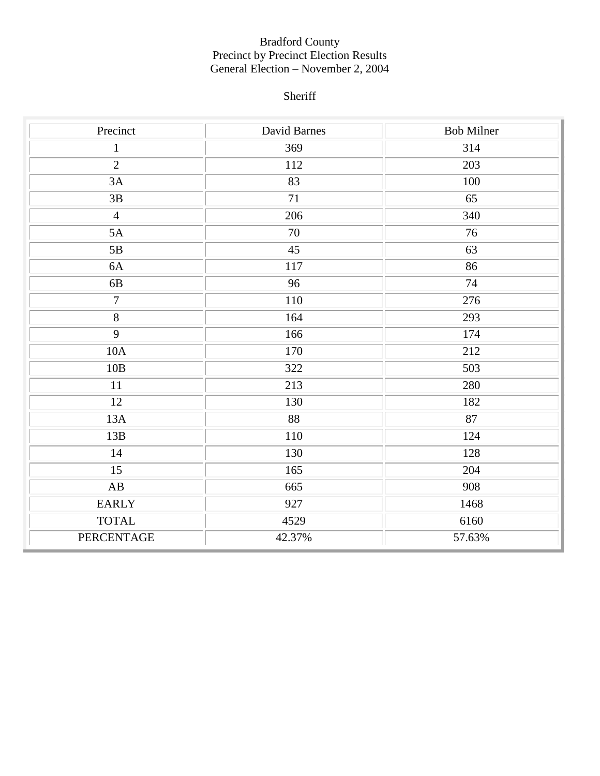# Sheriff

| Precinct               | David Barnes | <b>Bob Milner</b> |
|------------------------|--------------|-------------------|
| $\mathbf{1}$           | 369          | 314               |
| $\overline{2}$         | 112          | 203               |
| 3A                     | 83           | 100               |
| 3B                     | 71           | $\overline{65}$   |
| $\overline{4}$         | 206          | 340               |
| 5A                     | $70\,$       | 76                |
| 5B                     | 45           | 63                |
| 6A                     | 117          | 86                |
| 6B                     | 96           | 74                |
| $\tau$                 | 110          | 276               |
| $\overline{8}$         | 164          | 293               |
| $\overline{9}$         | 166          | 174               |
| 10A                    | 170          | 212               |
| 10B                    | 322          | 503               |
| 11                     | 213          | 280               |
| 12                     | 130          | 182               |
| 13A                    | 88           | 87                |
| 13B                    | 110          | 124               |
| 14                     | 130          | 128               |
| 15                     | 165          | 204               |
| $\mathbf{A}\mathbf{B}$ | 665          | 908               |
| <b>EARLY</b>           | 927          | 1468              |
| <b>TOTAL</b>           | 4529         | 6160              |
| <b>PERCENTAGE</b>      | 42.37%       | 57.63%            |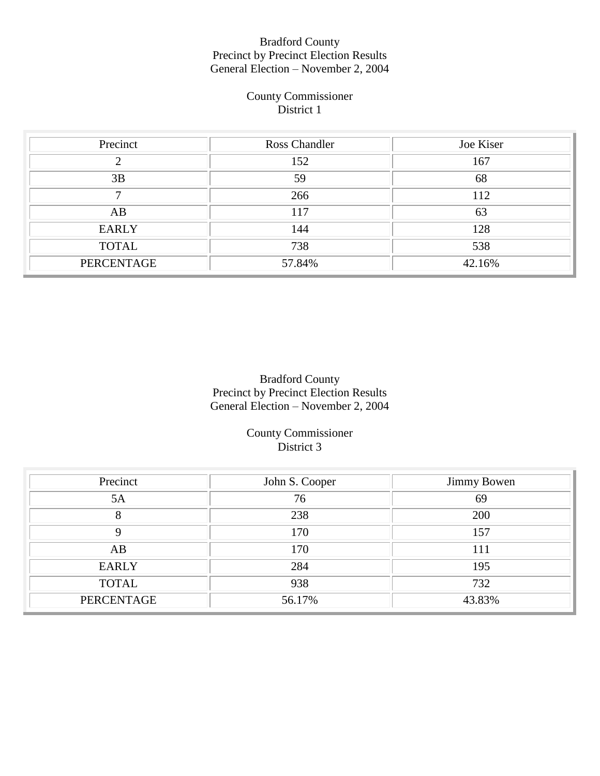### County Commissioner District 1

| Precinct     | Ross Chandler | Joe Kiser |
|--------------|---------------|-----------|
|              | 152           | 167       |
| 3B           | 59            | 68        |
|              | 266           | 112       |
| AB           | 117           | 63        |
| <b>EARLY</b> | 144           | 128       |
| <b>TOTAL</b> | 738           | 538       |
| PERCENTAGE   | 57.84%        | 42.16%    |

## Bradford County Precinct by Precinct Election Results General Election – November 2, 2004

County Commissioner District 3

| Precinct     | John S. Cooper | <b>Jimmy Bowen</b> |
|--------------|----------------|--------------------|
| 5A           | 76             | 69                 |
| 8            | 238            | 200                |
|              | 170            | 157                |
| AB           | 170            | 111                |
| <b>EARLY</b> | 284            | 195                |
| <b>TOTAL</b> | 938            | 732                |
| PERCENTAGE   | 56.17%         | 43.83%             |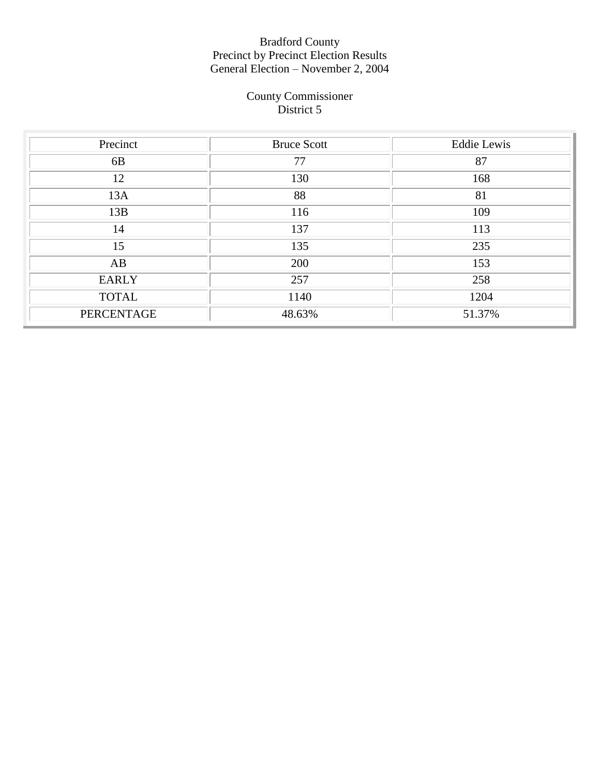#### County Commissioner District 5

| Precinct       | <b>Bruce Scott</b> | <b>Eddie Lewis</b> |
|----------------|--------------------|--------------------|
| 6 <sub>B</sub> | 77                 | 87                 |
| 12             | 130                | 168                |
| 13A            | 88                 | 81                 |
| 13B            | 116                | 109                |
| 14             | 137                | 113                |
| 15             | 135                | 235                |
| AB             | 200                | 153                |
| <b>EARLY</b>   | 257                | 258                |
| <b>TOTAL</b>   | 1140               | 1204               |
| PERCENTAGE     | 48.63%             | 51.37%             |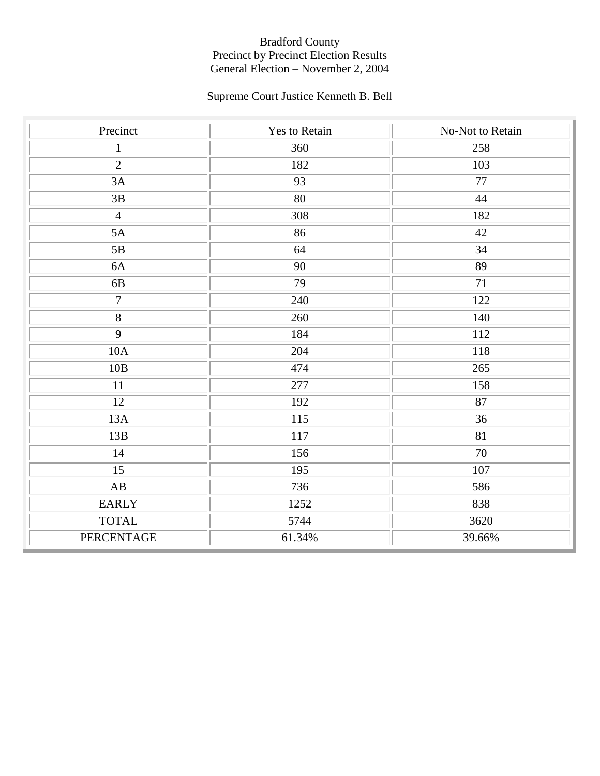# Supreme Court Justice Kenneth B. Bell

| Precinct               | Yes to Retain | No-Not to Retain |
|------------------------|---------------|------------------|
| $\mathbf{1}$           | 360           | 258              |
| $\overline{2}$         | 182           | 103              |
| 3A                     | 93            | 77               |
| $3\mathrm{B}$          | 80            | 44               |
| $\overline{4}$         | 308           | 182              |
| 5A                     | 86            | 42               |
| 5B                     | 64            | 34               |
| $6A$                   | 90            | 89               |
| 6B                     | 79            | 71               |
| $\overline{7}$         | 240           | 122              |
| $\overline{8}$         | 260           | 140              |
| $\overline{9}$         | 184           | 112              |
| 10A                    | 204           | 118              |
| 10B                    | 474           | 265              |
| 11                     | 277           | 158              |
| 12                     | 192           | 87               |
| 13A                    | 115           | 36               |
| 13B                    | 117           | 81               |
| 14                     | 156           | 70               |
| 15                     | 195           | $107\,$          |
| $\mathbf{A}\mathbf{B}$ | 736           | 586              |
| <b>EARLY</b>           | 1252          | 838              |
| <b>TOTAL</b>           | 5744          | 3620             |
| PERCENTAGE             | 61.34%        | 39.66%           |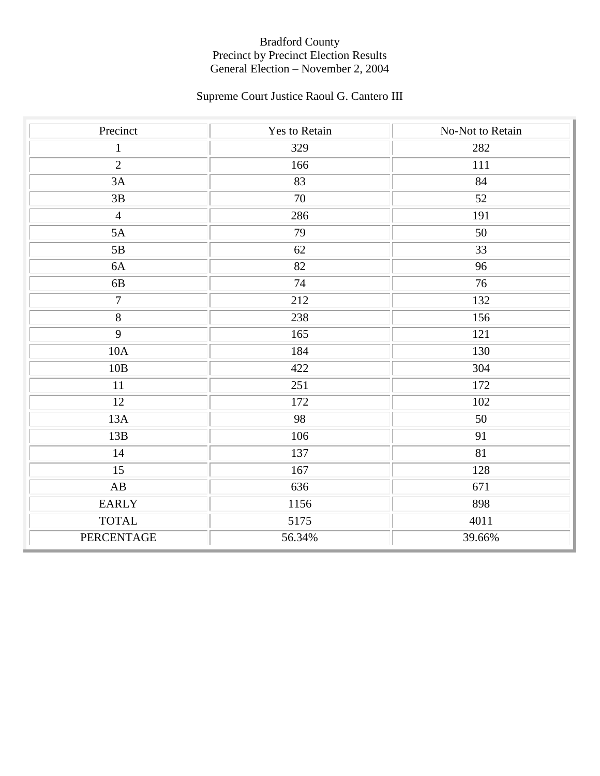# Supreme Court Justice Raoul G. Cantero III

| Precinct               | Yes to Retain   | No-Not to Retain |
|------------------------|-----------------|------------------|
| $\mathbf{1}$           | 329             | 282              |
| $\overline{2}$         | 166             | 111              |
| 3A                     | $\overline{83}$ | 84               |
| $3\mathrm{B}$          | 70              | $\overline{52}$  |
| $\overline{4}$         | 286             | 191              |
| 5A                     | 79              | 50               |
| 5B                     | 62              | 33               |
| $6A$                   | 82              | 96               |
| 6B                     | 74              | 76               |
| $\overline{7}$         | 212             | 132              |
| $\overline{8}$         | 238             | 156              |
| $\overline{9}$         | 165             | 121              |
| 10A                    | 184             | 130              |
| 10B                    | 422             | 304              |
| 11                     | 251             | 172              |
| 12                     | 172             | $102\,$          |
| 13A                    | 98              | 50               |
| 13B                    | 106             | 91               |
| 14                     | 137             | 81               |
| 15                     | 167             | 128              |
| $\mathbf{A}\mathbf{B}$ | 636             | 671              |
| <b>EARLY</b>           | 1156            | 898              |
| <b>TOTAL</b>           | 5175            | 4011             |
| PERCENTAGE             | 56.34%          | 39.66%           |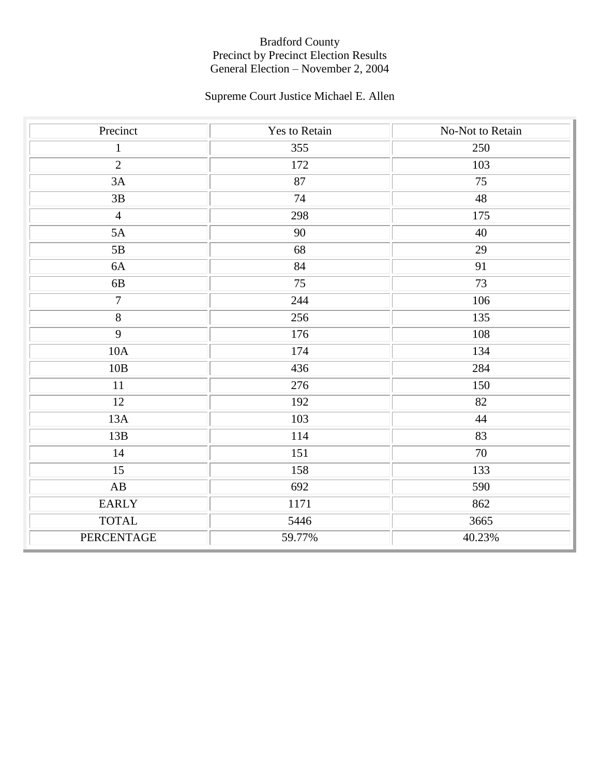# Supreme Court Justice Michael E. Allen

| Precinct       | Yes to Retain | No-Not to Retain |
|----------------|---------------|------------------|
| $\mathbf{1}$   | 355           | 250              |
| $\overline{2}$ | 172           | 103              |
| 3A             | 87            | $\overline{75}$  |
| $3\mathrm{B}$  | 74            | 48               |
| $\overline{4}$ | 298           | 175              |
| 5A             | 90            | 40               |
| 5B             | 68            | 29               |
| $6A$           | 84            | 91               |
| 6B             | 75            | 73               |
| $\overline{7}$ | 244           | 106              |
| $\overline{8}$ | 256           | 135              |
| $\overline{9}$ | 176           | 108              |
| 10A            | 174           | 134              |
| $10B$          | 436           | 284              |
| 11             | 276           | 150              |
| 12             | 192           | 82               |
| 13A            | 103           | 44               |
| 13B            | 114           | 83               |
| 14             | 151           | 70               |
| 15             | 158           | 133              |
| AB             | 692           | 590              |
| <b>EARLY</b>   | 1171          | 862              |
| <b>TOTAL</b>   | 5446          | 3665             |
| PERCENTAGE     | 59.77%        | 40.23%           |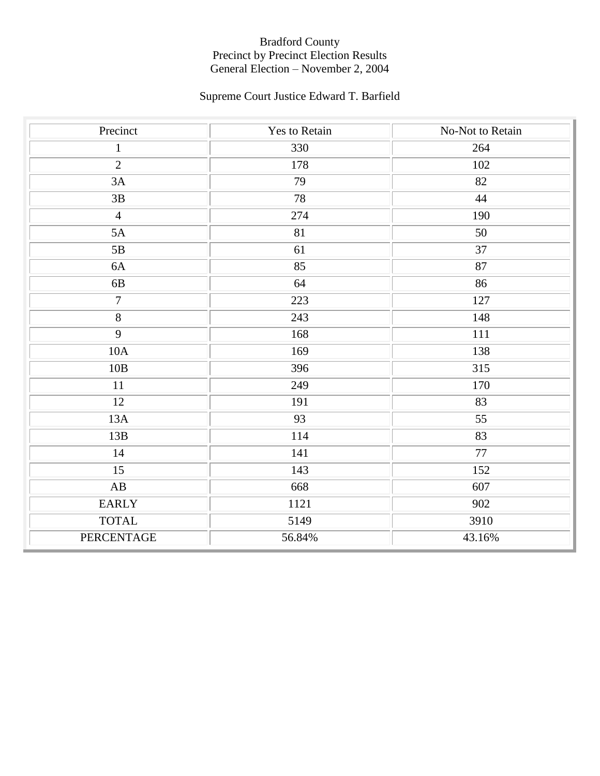# Supreme Court Justice Edward T. Barfield

| Precinct               | <b>Yes to Retain</b> | No-Not to Retain |
|------------------------|----------------------|------------------|
| $\mathbf{1}$           | 330                  | 264              |
| $\overline{2}$         | 178                  | $102\,$          |
| 3A                     | 79                   | 82               |
| $3\mathrm{B}$          | 78                   | 44               |
| $\overline{4}$         | 274                  | 190              |
| 5A                     | 81                   | 50               |
| $5\mathrm{B}$          | 61                   | 37               |
| 6A                     | 85                   | 87               |
| 6B                     | 64                   | 86               |
| $\overline{7}$         | 223                  | 127              |
| $\overline{8}$         | 243                  | 148              |
| $\overline{9}$         | 168                  | 111              |
| 10A                    | 169                  | 138              |
| 10B                    | 396                  | 315              |
| 11                     | 249                  | 170              |
| 12                     | 191                  | 83               |
| 13A                    | 93                   | 55               |
| 13B                    | 114                  | 83               |
| 14                     | 141                  | 77               |
| 15                     | 143                  | 152              |
| $\mathbf{A}\mathbf{B}$ | 668                  | 607              |
| <b>EARLY</b>           | 1121                 | 902              |
| <b>TOTAL</b>           | 5149                 | 3910             |
| PERCENTAGE             | 56.84%               | 43.16%           |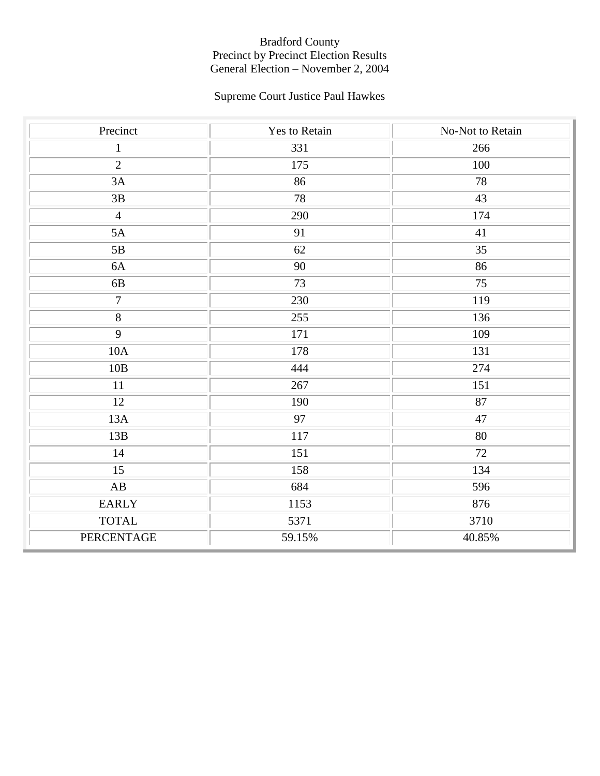# Supreme Court Justice Paul Hawkes

| Precinct               | Yes to Retain   | No-Not to Retain |
|------------------------|-----------------|------------------|
| $\mathbf{1}$           | 331             | 266              |
| $\overline{2}$         | 175             | 100              |
| 3A                     | 86              | 78               |
| $3\mathrm{B}$          | 78              | 43               |
| $\overline{4}$         | 290             | 174              |
| 5A                     | 91              | $41\,$           |
| 5B                     | 62              | 35               |
| $6A$                   | 90              | 86               |
| 6B                     | 73              | 75               |
| $\overline{7}$         | 230             | 119              |
| $\overline{8}$         | 255             | 136              |
| $\overline{9}$         | 171             | 109              |
| 10A                    | 178             | 131              |
| $10B$                  | 444             | 274              |
| 11                     | 267             | 151              |
| 12                     | 190             | 87               |
| 13A                    | $\overline{97}$ | 47               |
| 13B                    | 117             | $80\,$           |
| 14                     | 151             | 72               |
| 15                     | 158             | 134              |
| $\mathbf{A}\mathbf{B}$ | 684             | 596              |
| <b>EARLY</b>           | 1153            | 876              |
| <b>TOTAL</b>           | 5371            | 3710             |
| PERCENTAGE             | 59.15%          | 40.85%           |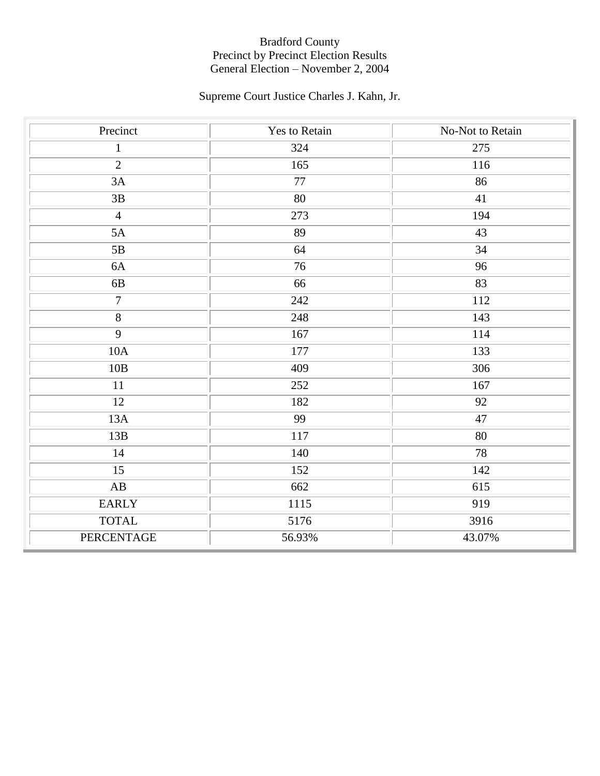# Supreme Court Justice Charles J. Kahn, Jr.

| Precinct               | Yes to Retain   | No-Not to Retain |
|------------------------|-----------------|------------------|
| $\mathbf{1}$           | 324             | 275              |
| $\overline{2}$         | 165             | 116              |
| 3A                     | $\overline{77}$ | 86               |
| $3\mathrm{B}$          | 80              | 41               |
| $\overline{4}$         | 273             | 194              |
| 5A                     | 89              | 43               |
| 5B                     | 64              | 34               |
| $6A$                   | 76              | 96               |
| 6B                     | 66              | 83               |
| $\overline{7}$         | 242             | 112              |
| $\overline{8}$         | 248             | 143              |
| $\overline{9}$         | 167             | 114              |
| 10A                    | 177             | 133              |
| 10B                    | 409             | 306              |
| 11                     | 252             | 167              |
| 12                     | 182             | 92               |
| 13A                    | 99              | 47               |
| 13B                    | 117             | $80\,$           |
| 14                     | 140             | 78               |
| 15                     | 152             | 142              |
| $\mathbf{A}\mathbf{B}$ | 662             | 615              |
| <b>EARLY</b>           | 1115            | 919              |
| <b>TOTAL</b>           | 5176            | 3916             |
| PERCENTAGE             | 56.93%          | 43.07%           |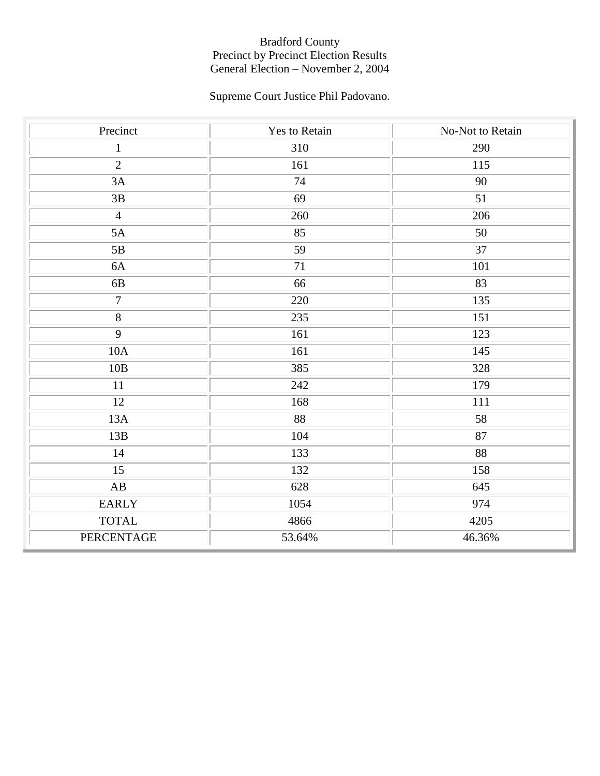# Supreme Court Justice Phil Padovano.

| Precinct               | Yes to Retain | No-Not to Retain |
|------------------------|---------------|------------------|
| $\mathbf{1}$           | 310           | 290              |
| $\overline{2}$         | 161           | 115              |
| 3A                     | 74            | 90               |
| $3\mathrm{B}$          | 69            | 51               |
| $\overline{4}$         | 260           | 206              |
| 5A                     | 85            | 50               |
| 5B                     | 59            | 37               |
| 6A                     | 71            | 101              |
| 6B                     | 66            | 83               |
| $\overline{7}$         | 220           | 135              |
| $\overline{8}$         | 235           | 151              |
| $\overline{9}$         | 161           | 123              |
| 10A                    | 161           | 145              |
| $10B$                  | 385           | 328              |
| 11                     | 242           | 179              |
| 12                     | 168           | 111              |
| 13A                    | 88            | 58               |
| 13B                    | 104           | $87\,$           |
| 14                     | 133           | 88               |
| 15                     | 132           | 158              |
| $\mathbf{A}\mathbf{B}$ | 628           | 645              |
| <b>EARLY</b>           | 1054          | 974              |
| <b>TOTAL</b>           | 4866          | 4205             |
| PERCENTAGE             | 53.64%        | 46.36%           |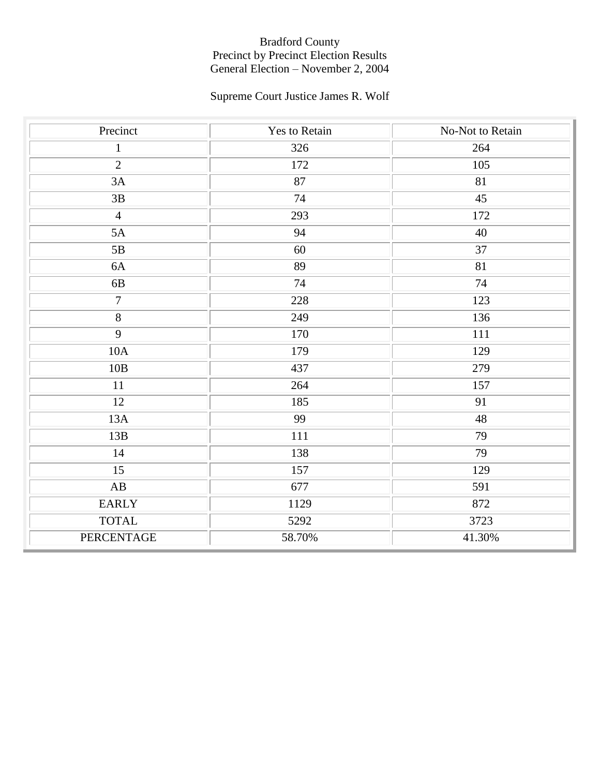# Supreme Court Justice James R. Wolf

| Precinct               | Yes to Retain | No-Not to Retain |
|------------------------|---------------|------------------|
| $\mathbf{1}$           | 326           | 264              |
| $\overline{2}$         | 172           | 105              |
| 3A                     | 87            | $\overline{81}$  |
| $3\mathrm{B}$          | 74            | $\overline{45}$  |
| $\overline{4}$         | 293           | 172              |
| 5A                     | 94            | 40               |
| 5B                     | 60            | 37               |
| 6A                     | 89            | 81               |
| 6B                     | 74            | 74               |
| $\overline{7}$         | 228           | 123              |
| $\overline{8}$         | 249           | 136              |
| $\overline{9}$         | 170           | 111              |
| 10A                    | 179           | 129              |
| $10B$                  | 437           | 279              |
| 11                     | 264           | 157              |
| 12                     | 185           | 91               |
| 13A                    | 99            | 48               |
| 13B                    | 111           | 79               |
| 14                     | 138           | 79               |
| 15                     | 157           | 129              |
| $\mathbf{A}\mathbf{B}$ | 677           | 591              |
| <b>EARLY</b>           | 1129          | 872              |
| <b>TOTAL</b>           | 5292          | 3723             |
| PERCENTAGE             | 58.70%        | 41.30%           |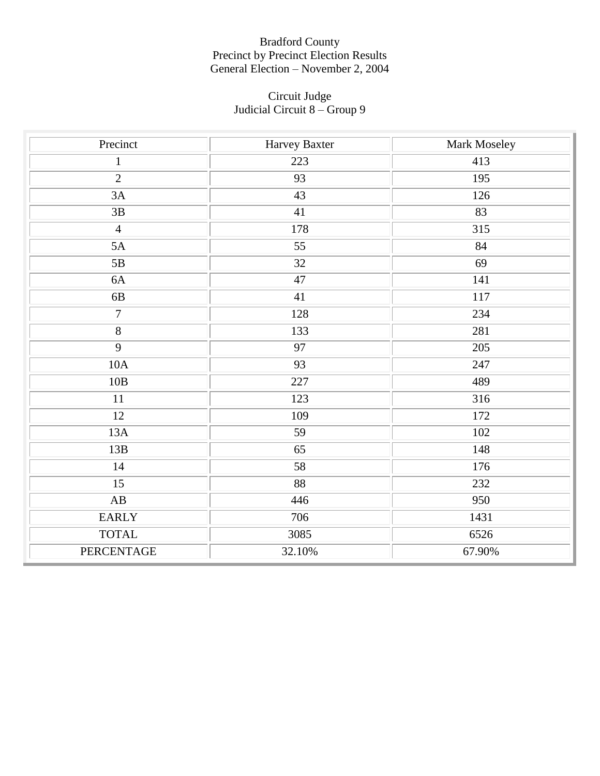#### Circuit Judge Judicial Circuit 8 – Group 9

| Precinct               | Harvey Baxter | Mark Moseley |
|------------------------|---------------|--------------|
| $\mathbf{1}$           | 223           | 413          |
| $\overline{2}$         | 93            | 195          |
| 3A                     | 43            | 126          |
| $3\mathrm{B}$          | 41            | 83           |
| $\overline{4}$         | 178           | 315          |
| 5A                     | 55            | 84           |
| 5B                     | 32            | 69           |
| $6A$                   | 47            | 141          |
| $6\mathrm{B}$          | 41            | 117          |
| $\overline{7}$         | 128           | 234          |
| $\overline{8}$         | 133           | 281          |
| $\overline{9}$         | 97            | 205          |
| 10A                    | 93            | 247          |
| $10B$                  | 227           | 489          |
| $11\,$                 | 123           | 316          |
| 12                     | 109           | 172          |
| 13A                    | 59            | 102          |
| 13B                    | 65            | 148          |
| 14                     | 58            | 176          |
| 15                     | 88            | 232          |
| $\mathbf{A}\mathbf{B}$ | 446           | 950          |
| <b>EARLY</b>           | 706           | 1431         |
| <b>TOTAL</b>           | 3085          | 6526         |
| PERCENTAGE             | 32.10%        | 67.90%       |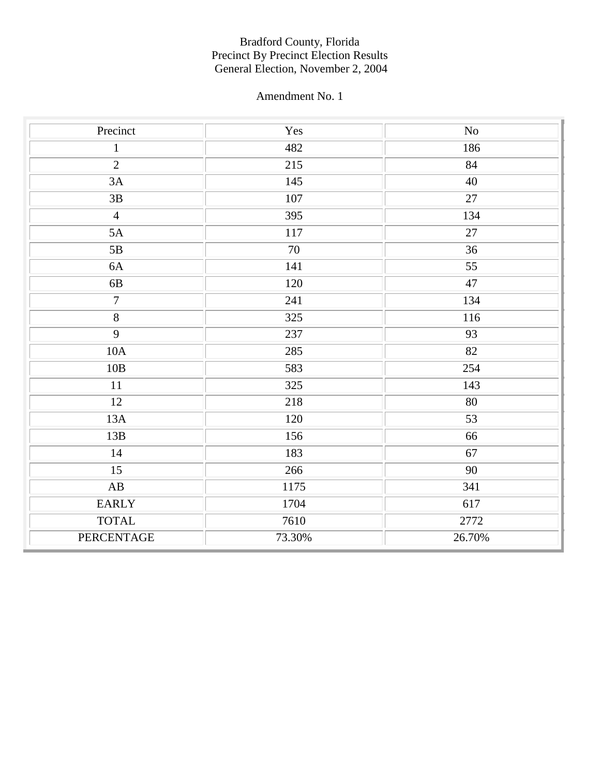| Precinct               | Yes    | $\rm No$        |
|------------------------|--------|-----------------|
| $\mathbf{1}$           | 482    | 186             |
| $\overline{2}$         | 215    | 84              |
| 3A                     | 145    | 40              |
| $\overline{3B}$        | 107    | $\overline{27}$ |
| $\overline{4}$         | 395    | 134             |
| 5A                     | 117    | $27\,$          |
| 5B                     | 70     | 36              |
| 6A                     | 141    | 55              |
| 6B                     | 120    | 47              |
| $\overline{7}$         | 241    | 134             |
| $\overline{8}$         | 325    | 116             |
| $\overline{9}$         | 237    | 93              |
| 10A                    | 285    | 82              |
| 10B                    | 583    | 254             |
| $11\,$                 | 325    | 143             |
| 12                     | 218    | 80              |
| 13A                    | 120    | $\overline{53}$ |
| 13B                    | 156    | 66              |
| 14                     | 183    | 67              |
| 15                     | 266    | 90              |
| $\mathbf{A}\mathbf{B}$ | 1175   | 341             |
| <b>EARLY</b>           | 1704   | 617             |
| <b>TOTAL</b>           | 7610   | 2772            |
| PERCENTAGE             | 73.30% | 26.70%          |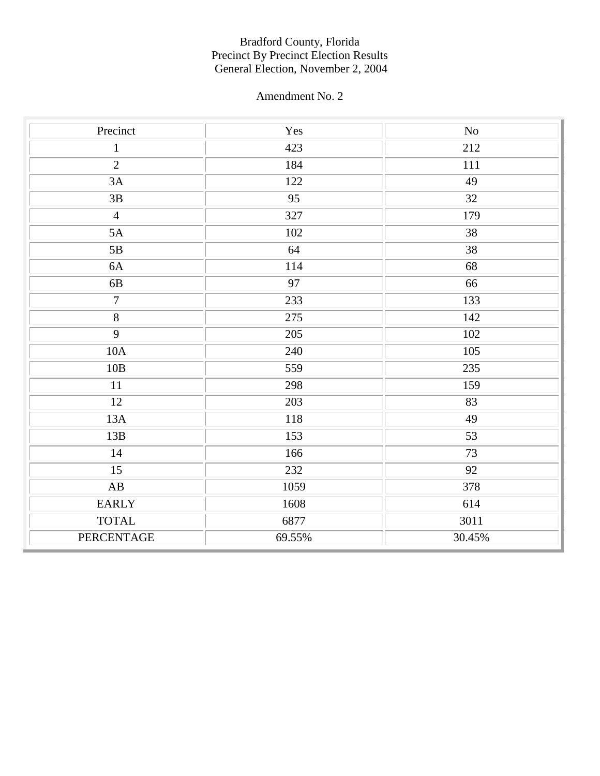| Precinct               | Yes    | $\rm No$        |
|------------------------|--------|-----------------|
| $1\,$                  | 423    | 212             |
| $\overline{2}$         | 184    | 111             |
| 3A                     | 122    | 49              |
| $\overline{3B}$        | 95     | $\overline{32}$ |
| $\overline{4}$         | 327    | 179             |
| 5A                     | 102    | 38              |
| 5B                     | 64     | 38              |
| 6A                     | 114    | 68              |
| $6\mathrm{B}$          | 97     | 66              |
| $\boldsymbol{7}$       | 233    | 133             |
| $\overline{8}$         | 275    | 142             |
| $\overline{9}$         | 205    | 102             |
| 10A                    | 240    | 105             |
| 10B                    | 559    | 235             |
| $11\,$                 | 298    | 159             |
| 12                     | 203    | 83              |
| 13A                    | 118    | 49              |
| 13B                    | 153    | 53              |
| 14                     | 166    | 73              |
| 15                     | 232    | 92              |
| $\mathbf{A}\mathbf{B}$ | 1059   | 378             |
| <b>EARLY</b>           | 1608   | 614             |
| <b>TOTAL</b>           | 6877   | 3011            |
| PERCENTAGE             | 69.55% | 30.45%          |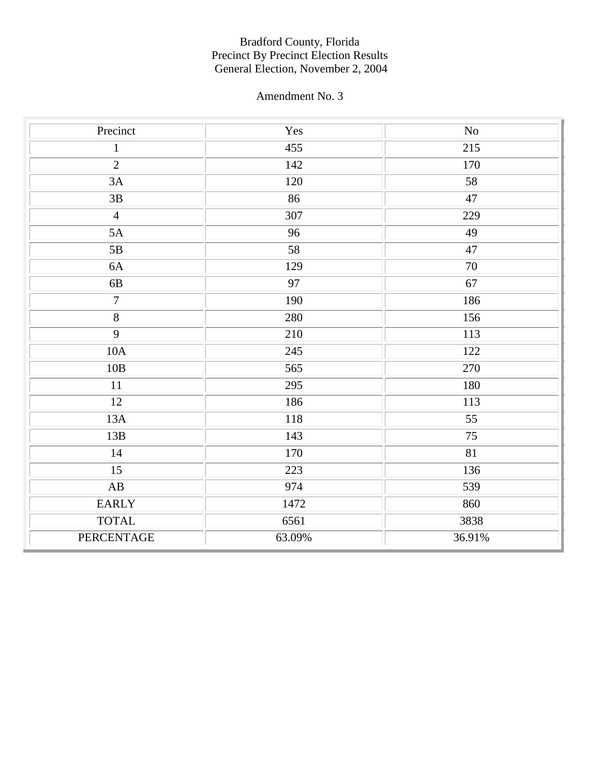| Precinct               | Yes    | $\rm No$        |
|------------------------|--------|-----------------|
| $\mathbf{1}$           | 455    | 215             |
| $\overline{2}$         | 142    | 170             |
| 3A                     | 120    | 58              |
| $\overline{3B}$        | 86     | $\overline{47}$ |
| $\overline{4}$         | 307    | 229             |
| 5A                     | 96     | 49              |
| 5B                     | 58     | $47\,$          |
| 6A                     | 129    | 70              |
| $6\mathrm{B}$          | 97     | 67              |
| $\boldsymbol{7}$       | 190    | 186             |
| $\overline{8}$         | 280    | 156             |
| $\overline{9}$         | 210    | 113             |
| 10A                    | 245    | 122             |
| 10B                    | 565    | 270             |
| $11\,$                 | 295    | 180             |
| 12                     | 186    | 113             |
| 13A                    | 118    | $\overline{55}$ |
| 13B                    | 143    | 75              |
| 14                     | 170    | 81              |
| 15                     | 223    | 136             |
| $\mathbf{A}\mathbf{B}$ | 974    | 539             |
| <b>EARLY</b>           | 1472   | 860             |
| <b>TOTAL</b>           | 6561   | 3838            |
| PERCENTAGE             | 63.09% | 36.91%          |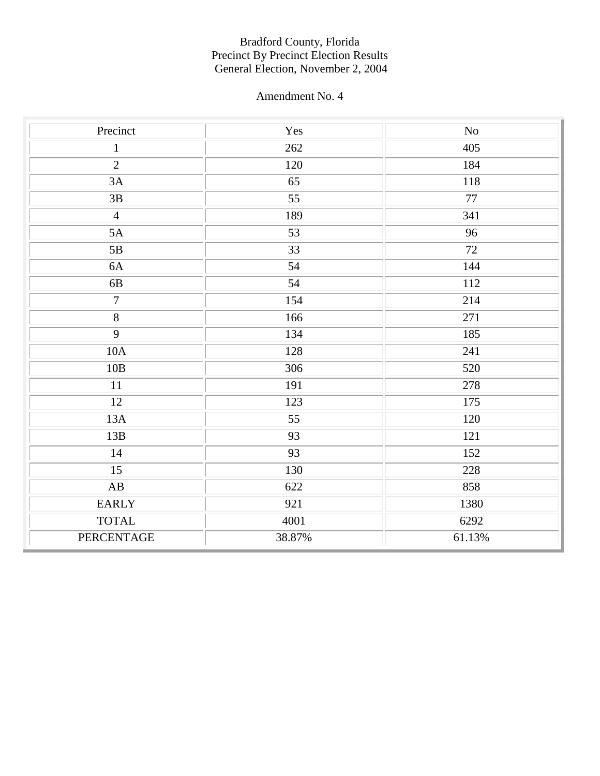| Precinct               | Yes             | $\rm No$ |
|------------------------|-----------------|----------|
| $\mathbf{1}$           | 262             | 405      |
| $\overline{2}$         | 120             | 184      |
| 3A                     | $\overline{65}$ | 118      |
| $3\mathrm{B}$          | $\overline{55}$ | 77       |
| $\overline{4}$         | 189             | 341      |
| 5A                     | 53              | 96       |
| 5B                     | 33              | 72       |
| 6A                     | 54              | 144      |
| 6B                     | 54              | 112      |
| $\overline{7}$         | 154             | 214      |
| $\overline{8}$         | 166             | 271      |
| $\overline{9}$         | 134             | 185      |
| 10A                    | 128             | 241      |
| 10B                    | 306             | 520      |
| 11                     | 191             | 278      |
| 12                     | 123             | 175      |
| 13A                    | $\overline{55}$ | 120      |
| 13B                    | 93              | 121      |
| 14                     | 93              | 152      |
| 15                     | 130             | 228      |
| $\mathbf{A}\mathbf{B}$ | 622             | 858      |
| <b>EARLY</b>           | 921             | 1380     |
| <b>TOTAL</b>           | 4001            | 6292     |
| PERCENTAGE             | 38.87%          | 61.13%   |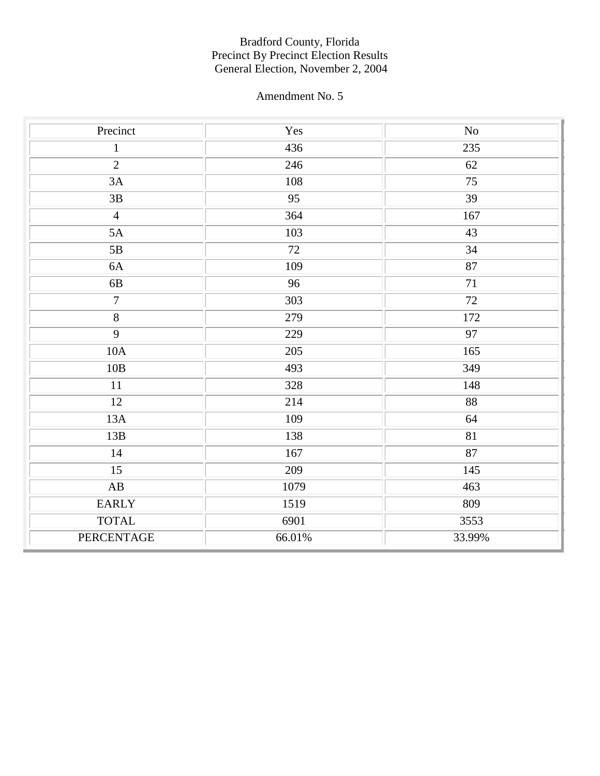| Precinct               | $\operatorname{Yes}$ | $\rm No$            |
|------------------------|----------------------|---------------------|
| $\mathbf{1}$           | 436                  | 235                 |
| $\overline{2}$         | 246                  | 62                  |
| 3A                     | 108                  | $\overline{75}$     |
| $\overline{3B}$        | $\overline{95}$      | $\overline{39}$     |
| $\overline{4}$         | 364                  | 167                 |
| 5A                     | 103                  | 43                  |
| 5B                     | 72                   | 34                  |
| 6A                     | 109                  | 87                  |
| 6B                     | 96                   | 71                  |
| $\overline{7}$         | 303                  | $72\,$              |
| $\overline{8}$         | 279                  | 172                 |
| $\overline{9}$         | 229                  | 97                  |
| 10A                    | 205                  | 165                 |
| 10B                    | 493                  | 349                 |
| 11                     | 328                  | 148                 |
| 12                     | 214                  | $\overline{\bf 88}$ |
| 13A                    | 109                  | 64                  |
| 13B                    | 138                  | 81                  |
| 14                     | 167                  | 87                  |
| 15                     | 209                  | 145                 |
| $\mathbf{A}\mathbf{B}$ | 1079                 | 463                 |
| <b>EARLY</b>           | 1519                 | 809                 |
| <b>TOTAL</b>           | 6901                 | 3553                |
| PERCENTAGE             | 66.01%               | 33.99%              |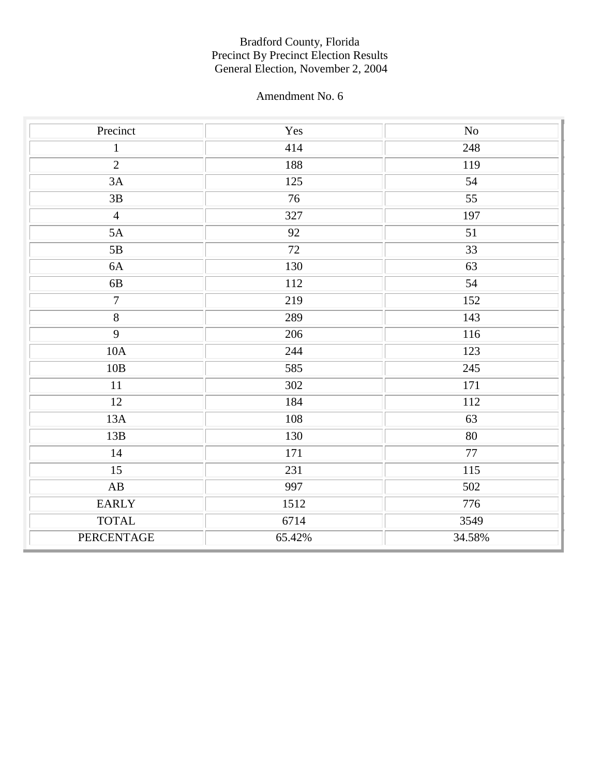| Precinct               | Yes    | $\rm No$        |
|------------------------|--------|-----------------|
| $\mathbf{1}$           | 414    | 248             |
| $\overline{2}$         | 188    | 119             |
| 3A                     | 125    | 54              |
| $\overline{3B}$        | 76     | $\overline{55}$ |
| $\overline{4}$         | 327    | 197             |
| 5A                     | 92     | 51              |
| 5B                     | 72     | 33              |
| 6A                     | 130    | 63              |
| $6\mathrm{B}$          | 112    | 54              |
| $\boldsymbol{7}$       | 219    | 152             |
| $\overline{8}$         | 289    | 143             |
| $\overline{9}$         | 206    | 116             |
| 10A                    | 244    | 123             |
| 10B                    | 585    | 245             |
| $11\,$                 | 302    | 171             |
| 12                     | 184    | 112             |
| 13A                    | 108    | 63              |
| 13B                    | 130    | $\overline{80}$ |
| 14                     | 171    | 77              |
| 15                     | 231    | 115             |
| $\mathbf{A}\mathbf{B}$ | 997    | 502             |
| <b>EARLY</b>           | 1512   | 776             |
| <b>TOTAL</b>           | 6714   | 3549            |
| PERCENTAGE             | 65.42% | 34.58%          |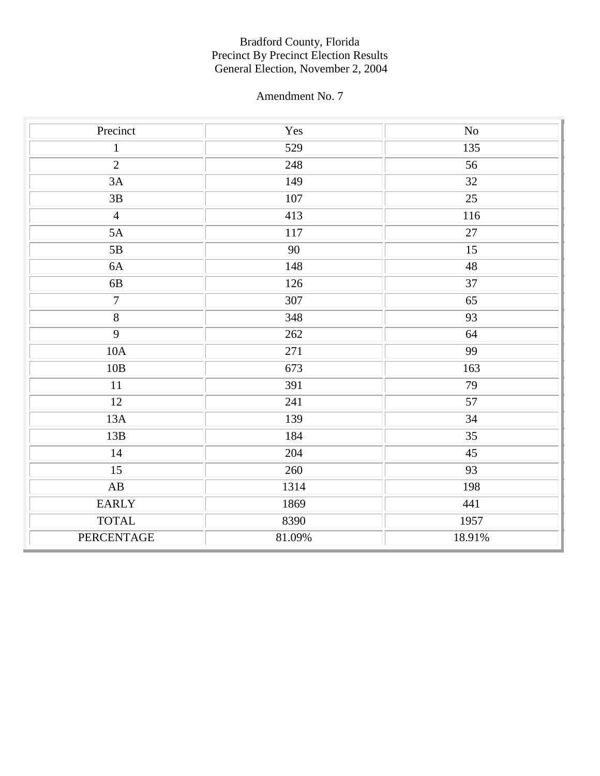| Precinct               | Yes     | $\rm No$        |
|------------------------|---------|-----------------|
| $1\,$                  | 529     | 135             |
| $\overline{2}$         | 248     | 56              |
| 3A                     | 149     | $\overline{32}$ |
| $3\mathrm{B}$          | $107\,$ | $\overline{25}$ |
| $\overline{4}$         | 413     | 116             |
| 5A                     | 117     | 27              |
| 5B                     | 90      | 15              |
| 6A                     | 148     | $\sqrt{48}$     |
| $6\mathrm{B}$          | 126     | 37              |
| $\overline{7}$         | 307     | $\overline{65}$ |
| $\overline{8}$         | 348     | 93              |
| $\overline{9}$         | 262     | 64              |
| 10A                    | 271     | 99              |
| 10B                    | 673     | 163             |
| $11\,$                 | 391     | 79              |
| $\overline{12}$        | 241     | $\overline{57}$ |
| 13A                    | 139     | $\overline{34}$ |
| 13B                    | 184     | 35              |
| 14                     | 204     | 45              |
| 15                     | 260     | 93              |
| $\mathbf{A}\mathbf{B}$ | 1314    | 198             |
| <b>EARLY</b>           | 1869    | 441             |
| <b>TOTAL</b>           | 8390    | 1957            |
| PERCENTAGE             | 81.09%  | 18.91%          |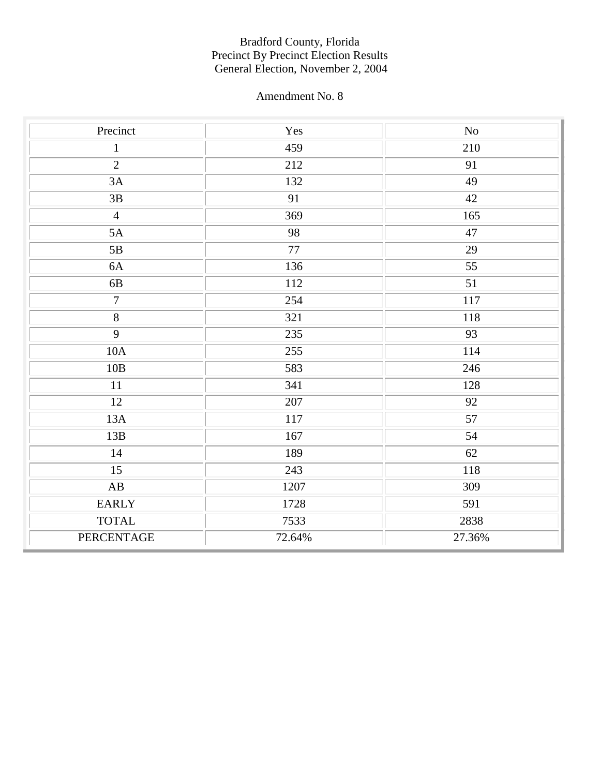| Precinct               | $\operatorname{Yes}$ | $\rm No$ |
|------------------------|----------------------|----------|
| $\mathbf{1}$           | 459                  | 210      |
| $\overline{2}$         | 212                  | 91       |
| 3A                     | 132                  | 49       |
| $\overline{3B}$        | 91                   | 42       |
| $\overline{4}$         | 369                  | 165      |
| 5A                     | 98                   | $47\,$   |
| 5B                     | 77                   | 29       |
| 6A                     | 136                  | 55       |
| 6B                     | 112                  | 51       |
| $\boldsymbol{7}$       | 254                  | 117      |
| $\overline{8}$         | 321                  | 118      |
| $\overline{9}$         | 235                  | 93       |
| 10A                    | 255                  | 114      |
| $10B$                  | 583                  | 246      |
| 11                     | 341                  | 128      |
| 12                     | 207                  | 92       |
| 13A                    | 117                  | 57       |
| 13B                    | 167                  | 54       |
| 14                     | 189                  | 62       |
| 15                     | 243                  | 118      |
| $\mathbf{A}\mathbf{B}$ | 1207                 | 309      |
| <b>EARLY</b>           | 1728                 | 591      |
| <b>TOTAL</b>           | 7533                 | 2838     |
| PERCENTAGE             | 72.64%               | 27.36%   |